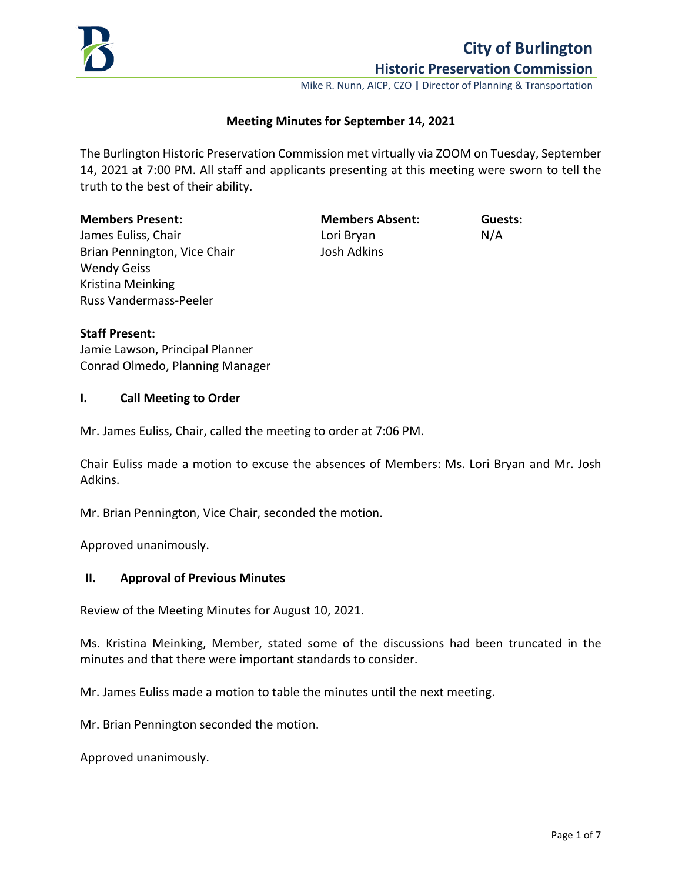

Mike R. Nunn, AICP, CZO **|** Director of Planning & Transportation

#### **Meeting Minutes for September 14, 2021**

The Burlington Historic Preservation Commission met virtually via ZOOM on Tuesday, September 14, 2021 at 7:00 PM. All staff and applicants presenting at this meeting were sworn to tell the truth to the best of their ability.

#### **Members Present: Members Absent: Guests:**

James Euliss, Chair North Chair North Lori Bryan North N/A Brian Pennington, Vice Chair **Josh Adkins** Wendy Geiss Kristina Meinking Russ Vandermass-Peeler

**Staff Present:**

Jamie Lawson, Principal Planner Conrad Olmedo, Planning Manager

#### **I. Call Meeting to Order**

Mr. James Euliss, Chair, called the meeting to order at 7:06 PM.

Chair Euliss made a motion to excuse the absences of Members: Ms. Lori Bryan and Mr. Josh Adkins.

Mr. Brian Pennington, Vice Chair, seconded the motion.

Approved unanimously.

#### **II. Approval of Previous Minutes**

Review of the Meeting Minutes for August 10, 2021.

Ms. Kristina Meinking, Member, stated some of the discussions had been truncated in the minutes and that there were important standards to consider.

Mr. James Euliss made a motion to table the minutes until the next meeting.

Mr. Brian Pennington seconded the motion.

Approved unanimously.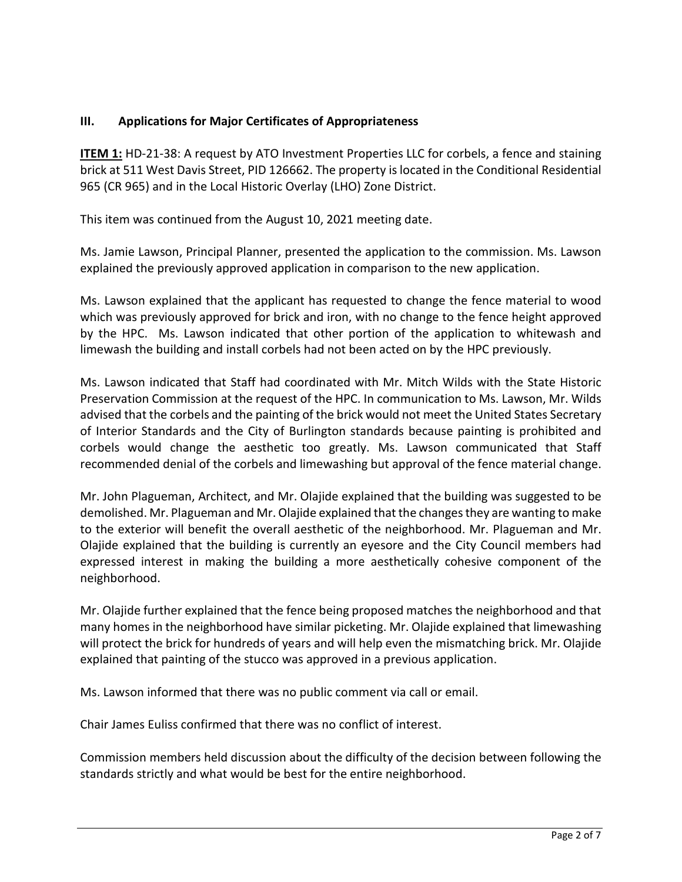# **III. Applications for Major Certificates of Appropriateness**

**ITEM 1:** HD-21-38: A request by ATO Investment Properties LLC for corbels, a fence and staining brick at 511 West Davis Street, PID 126662. The property is located in the Conditional Residential 965 (CR 965) and in the Local Historic Overlay (LHO) Zone District.

This item was continued from the August 10, 2021 meeting date.

Ms. Jamie Lawson, Principal Planner, presented the application to the commission. Ms. Lawson explained the previously approved application in comparison to the new application.

Ms. Lawson explained that the applicant has requested to change the fence material to wood which was previously approved for brick and iron, with no change to the fence height approved by the HPC. Ms. Lawson indicated that other portion of the application to whitewash and limewash the building and install corbels had not been acted on by the HPC previously.

Ms. Lawson indicated that Staff had coordinated with Mr. Mitch Wilds with the State Historic Preservation Commission at the request of the HPC. In communication to Ms. Lawson, Mr. Wilds advised that the corbels and the painting of the brick would not meet the United States Secretary of Interior Standards and the City of Burlington standards because painting is prohibited and corbels would change the aesthetic too greatly. Ms. Lawson communicated that Staff recommended denial of the corbels and limewashing but approval of the fence material change.

Mr. John Plagueman, Architect, and Mr. Olajide explained that the building was suggested to be demolished. Mr. Plagueman and Mr. Olajide explained that the changes they are wanting to make to the exterior will benefit the overall aesthetic of the neighborhood. Mr. Plagueman and Mr. Olajide explained that the building is currently an eyesore and the City Council members had expressed interest in making the building a more aesthetically cohesive component of the neighborhood.

Mr. Olajide further explained that the fence being proposed matches the neighborhood and that many homes in the neighborhood have similar picketing. Mr. Olajide explained that limewashing will protect the brick for hundreds of years and will help even the mismatching brick. Mr. Olajide explained that painting of the stucco was approved in a previous application.

Ms. Lawson informed that there was no public comment via call or email.

Chair James Euliss confirmed that there was no conflict of interest.

Commission members held discussion about the difficulty of the decision between following the standards strictly and what would be best for the entire neighborhood.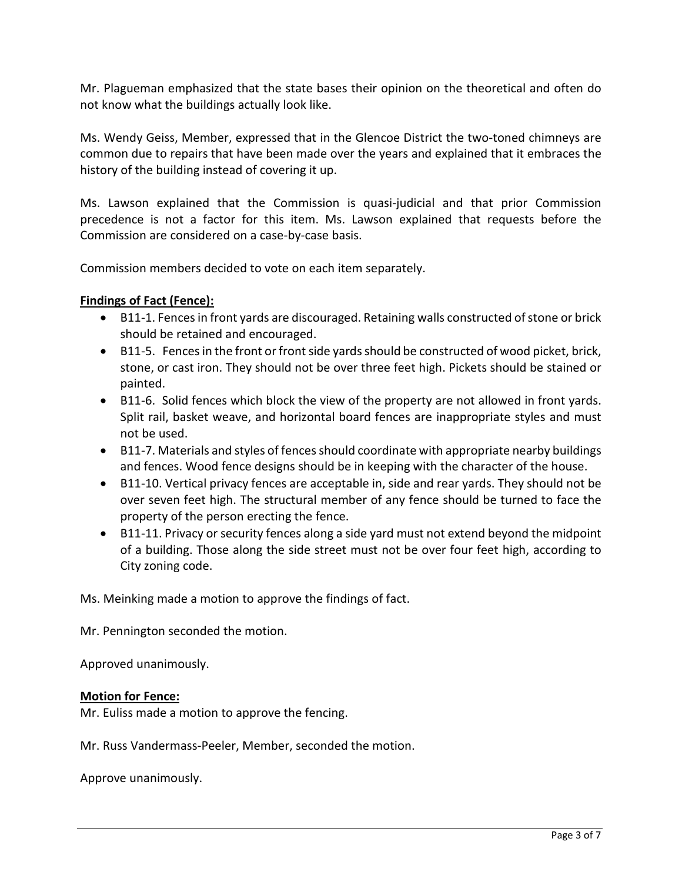Mr. Plagueman emphasized that the state bases their opinion on the theoretical and often do not know what the buildings actually look like.

Ms. Wendy Geiss, Member, expressed that in the Glencoe District the two-toned chimneys are common due to repairs that have been made over the years and explained that it embraces the history of the building instead of covering it up.

Ms. Lawson explained that the Commission is quasi-judicial and that prior Commission precedence is not a factor for this item. Ms. Lawson explained that requests before the Commission are considered on a case-by-case basis.

Commission members decided to vote on each item separately.

## **Findings of Fact (Fence):**

- B11-1. Fences in front yards are discouraged. Retaining walls constructed of stone or brick should be retained and encouraged.
- B11-5. Fences in the front or front side yards should be constructed of wood picket, brick, stone, or cast iron. They should not be over three feet high. Pickets should be stained or painted.
- B11-6. Solid fences which block the view of the property are not allowed in front yards. Split rail, basket weave, and horizontal board fences are inappropriate styles and must not be used.
- B11-7. Materials and styles of fences should coordinate with appropriate nearby buildings and fences. Wood fence designs should be in keeping with the character of the house.
- B11-10. Vertical privacy fences are acceptable in, side and rear yards. They should not be over seven feet high. The structural member of any fence should be turned to face the property of the person erecting the fence.
- B11-11. Privacy or security fences along a side yard must not extend beyond the midpoint of a building. Those along the side street must not be over four feet high, according to City zoning code.

Ms. Meinking made a motion to approve the findings of fact.

Mr. Pennington seconded the motion.

Approved unanimously.

### **Motion for Fence:**

Mr. Euliss made a motion to approve the fencing.

Mr. Russ Vandermass-Peeler, Member, seconded the motion.

Approve unanimously.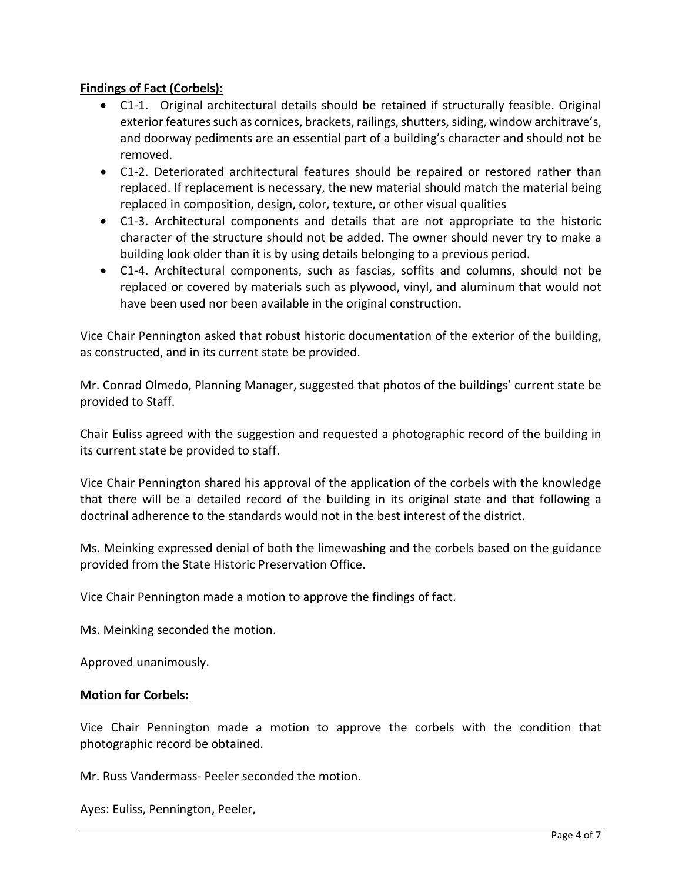## **Findings of Fact (Corbels):**

- C1-1. Original architectural details should be retained if structurally feasible. Original exterior features such as cornices, brackets, railings, shutters, siding, window architrave's, and doorway pediments are an essential part of a building's character and should not be removed.
- C1-2. Deteriorated architectural features should be repaired or restored rather than replaced. If replacement is necessary, the new material should match the material being replaced in composition, design, color, texture, or other visual qualities
- C1-3. Architectural components and details that are not appropriate to the historic character of the structure should not be added. The owner should never try to make a building look older than it is by using details belonging to a previous period.
- C1-4. Architectural components, such as fascias, soffits and columns, should not be replaced or covered by materials such as plywood, vinyl, and aluminum that would not have been used nor been available in the original construction.

Vice Chair Pennington asked that robust historic documentation of the exterior of the building, as constructed, and in its current state be provided.

Mr. Conrad Olmedo, Planning Manager, suggested that photos of the buildings' current state be provided to Staff.

Chair Euliss agreed with the suggestion and requested a photographic record of the building in its current state be provided to staff.

Vice Chair Pennington shared his approval of the application of the corbels with the knowledge that there will be a detailed record of the building in its original state and that following a doctrinal adherence to the standards would not in the best interest of the district.

Ms. Meinking expressed denial of both the limewashing and the corbels based on the guidance provided from the State Historic Preservation Office.

Vice Chair Pennington made a motion to approve the findings of fact.

Ms. Meinking seconded the motion.

Approved unanimously.

### **Motion for Corbels:**

Vice Chair Pennington made a motion to approve the corbels with the condition that photographic record be obtained.

Mr. Russ Vandermass- Peeler seconded the motion.

Ayes: Euliss, Pennington, Peeler,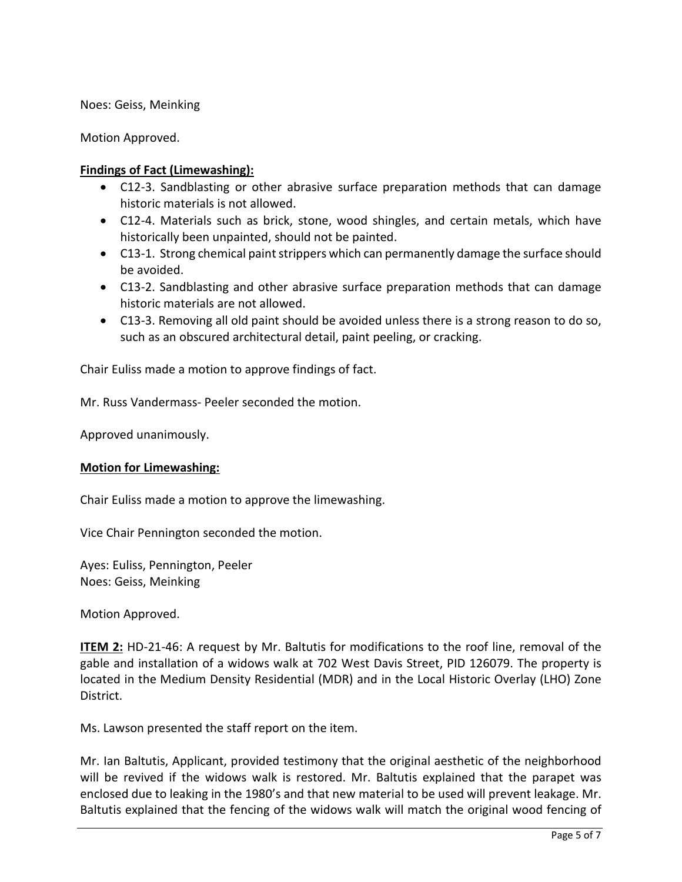Noes: Geiss, Meinking

Motion Approved.

### **Findings of Fact (Limewashing):**

- C12-3. Sandblasting or other abrasive surface preparation methods that can damage historic materials is not allowed.
- C12-4. Materials such as brick, stone, wood shingles, and certain metals, which have historically been unpainted, should not be painted.
- C13-1. Strong chemical paint strippers which can permanently damage the surface should be avoided.
- C13-2. Sandblasting and other abrasive surface preparation methods that can damage historic materials are not allowed.
- C13-3. Removing all old paint should be avoided unless there is a strong reason to do so, such as an obscured architectural detail, paint peeling, or cracking.

Chair Euliss made a motion to approve findings of fact.

Mr. Russ Vandermass- Peeler seconded the motion.

Approved unanimously.

### **Motion for Limewashing:**

Chair Euliss made a motion to approve the limewashing.

Vice Chair Pennington seconded the motion.

Ayes: Euliss, Pennington, Peeler Noes: Geiss, Meinking

Motion Approved.

**ITEM 2:** HD-21-46: A request by Mr. Baltutis for modifications to the roof line, removal of the gable and installation of a widows walk at 702 West Davis Street, PID 126079. The property is located in the Medium Density Residential (MDR) and in the Local Historic Overlay (LHO) Zone District.

Ms. Lawson presented the staff report on the item.

Mr. Ian Baltutis, Applicant, provided testimony that the original aesthetic of the neighborhood will be revived if the widows walk is restored. Mr. Baltutis explained that the parapet was enclosed due to leaking in the 1980's and that new material to be used will prevent leakage. Mr. Baltutis explained that the fencing of the widows walk will match the original wood fencing of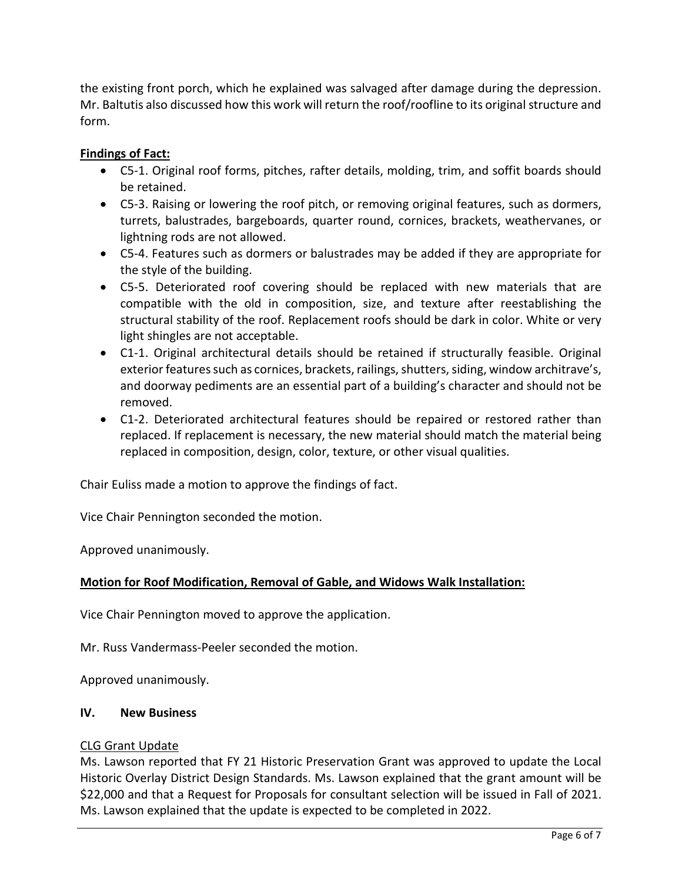the existing front porch, which he explained was salvaged after damage during the depression. Mr. Baltutis also discussed how this work will return the roof/roofline to its original structure and form.

# **Findings of Fact:**

- C5-1. Original roof forms, pitches, rafter details, molding, trim, and soffit boards should be retained.
- C5-3. Raising or lowering the roof pitch, or removing original features, such as dormers, turrets, balustrades, bargeboards, quarter round, cornices, brackets, weathervanes, or lightning rods are not allowed.
- C5-4. Features such as dormers or balustrades may be added if they are appropriate for the style of the building.
- C5-5. Deteriorated roof covering should be replaced with new materials that are compatible with the old in composition, size, and texture after reestablishing the structural stability of the roof. Replacement roofs should be dark in color. White or very light shingles are not acceptable.
- C1-1. Original architectural details should be retained if structurally feasible. Original exterior features such as cornices, brackets, railings, shutters, siding, window architrave's, and doorway pediments are an essential part of a building's character and should not be removed.
- C1-2. Deteriorated architectural features should be repaired or restored rather than replaced. If replacement is necessary, the new material should match the material being replaced in composition, design, color, texture, or other visual qualities.

Chair Euliss made a motion to approve the findings of fact.

Vice Chair Pennington seconded the motion.

Approved unanimously.

# **Motion for Roof Modification, Removal of Gable, and Widows Walk Installation:**

Vice Chair Pennington moved to approve the application.

Mr. Russ Vandermass-Peeler seconded the motion.

Approved unanimously.

### **IV. New Business**

### CLG Grant Update

Ms. Lawson reported that FY 21 Historic Preservation Grant was approved to update the Local Historic Overlay District Design Standards. Ms. Lawson explained that the grant amount will be \$22,000 and that a Request for Proposals for consultant selection will be issued in Fall of 2021. Ms. Lawson explained that the update is expected to be completed in 2022.